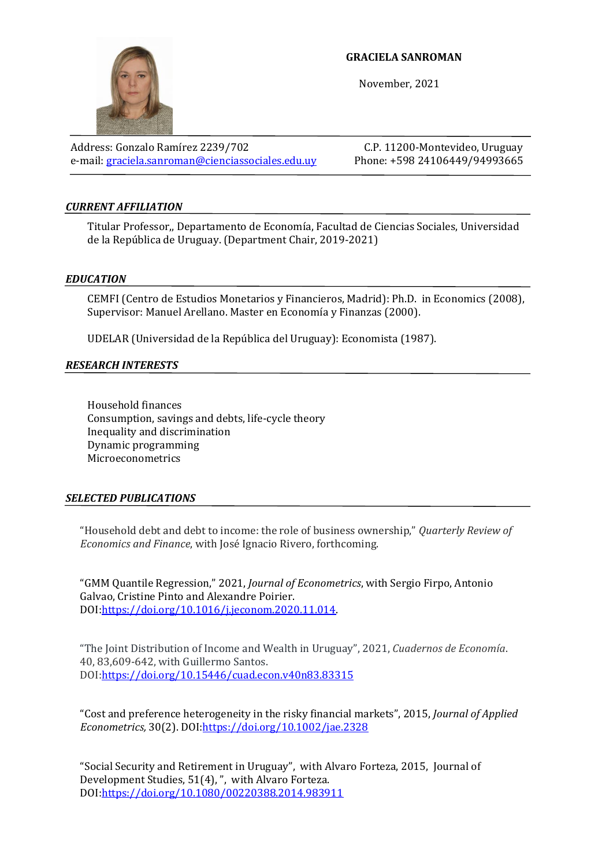## **GRACIELA SANROMAN**

November, 2021

Address: Gonzalo Ramírez 2239/702 C.P. 11200-Montevideo, Uruguay e-mail[: graciela.sanroman@cienciassociales.edu.uy](mailto:graciela.sanroman@cienciassociales.edu.uy) Phone: +598 24106449/94993665

# *CURRENT AFFILIATION*

Titular Professor,, Departamento de Economía, Facultad de Ciencias Sociales, Universidad de la República de Uruguay. (Department Chair, 2019-2021)

### *EDUCATION*

CEMFI (Centro de Estudios Monetarios y Financieros, Madrid): Ph.D. in Economics (2008), Supervisor: Manuel Arellano. Master en Economía y Finanzas (2000).

UDELAR (Universidad de la República del Uruguay): Economista (1987).

### *RESEARCH INTERESTS*

Household finances Consumption, savings and debts, life-cycle theory Inequality and discrimination Dynamic programming Microeconometrics

#### *SELECTED PUBLICATIONS*

"Household debt and debt to income: the role of business ownership," *Quarterly Review of Economics and Finance*, with José Ignacio Rivero, forthcoming.

"GMM Quantile Regression," 2021, *Journal of Econometrics*, with Sergio Firpo, Antonio Galvao, Cristine Pinto and Alexandre Poirier. DOI[:https://doi.org/10.1016/j.jeconom.2020.11.014.](https://doi.org/10.1016/j.jeconom.2020.11.014) 

"The Joint Distribution of Income and Wealth in Uruguay", 2021, *Cuadernos de Economía*. 40, 83,609-642, with Guillermo Santos. DOI[:https://doi.org/10.15446/cuad.econ.v40n83.83315](https://doi.org/10.15446/cuad.econ.v40n83.83315)

"Cost and preference heterogeneity in the risky financial markets", 2015, *Journal of Applied Econometrics,* 30(2). DOI[:https://doi.org/10.1002/jae.2328](https://doi.org/10.1002/jae.2328)

"Social Security and Retirement in Uruguay", with Alvaro Forteza, 2015, Journal of Development Studies, 51(4), ", with Alvaro Forteza. DOI[:https://doi.org/10.1080/00220388.2014.983911](https://doi.org/10.1080/00220388.2014.983911)